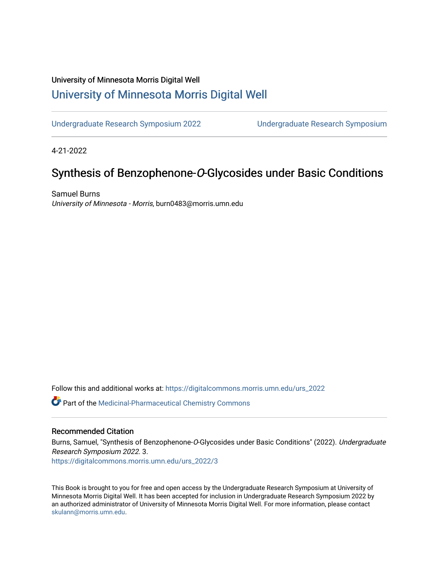#### University of Minnesota Morris Digital Well [University of Minnesota Morris Digital Well](https://digitalcommons.morris.umn.edu/)

[Undergraduate Research Symposium 2022](https://digitalcommons.morris.umn.edu/urs_2022) [Undergraduate Research Symposium](https://digitalcommons.morris.umn.edu/urs) 

4-21-2022

#### Synthesis of Benzophenone-O-Glycosides under Basic Conditions

Samuel Burns University of Minnesota - Morris, burn0483@morris.umn.edu

Follow this and additional works at: [https://digitalcommons.morris.umn.edu/urs\\_2022](https://digitalcommons.morris.umn.edu/urs_2022?utm_source=digitalcommons.morris.umn.edu%2Furs_2022%2F3&utm_medium=PDF&utm_campaign=PDFCoverPages)

Part of the [Medicinal-Pharmaceutical Chemistry Commons](https://network.bepress.com/hgg/discipline/136?utm_source=digitalcommons.morris.umn.edu%2Furs_2022%2F3&utm_medium=PDF&utm_campaign=PDFCoverPages) 

#### Recommended Citation

Burns, Samuel, "Synthesis of Benzophenone-O-Glycosides under Basic Conditions" (2022). Undergraduate Research Symposium 2022. 3. [https://digitalcommons.morris.umn.edu/urs\\_2022/3](https://digitalcommons.morris.umn.edu/urs_2022/3?utm_source=digitalcommons.morris.umn.edu%2Furs_2022%2F3&utm_medium=PDF&utm_campaign=PDFCoverPages)

This Book is brought to you for free and open access by the Undergraduate Research Symposium at University of Minnesota Morris Digital Well. It has been accepted for inclusion in Undergraduate Research Symposium 2022 by an authorized administrator of University of Minnesota Morris Digital Well. For more information, please contact [skulann@morris.umn.edu.](mailto:skulann@morris.umn.edu)